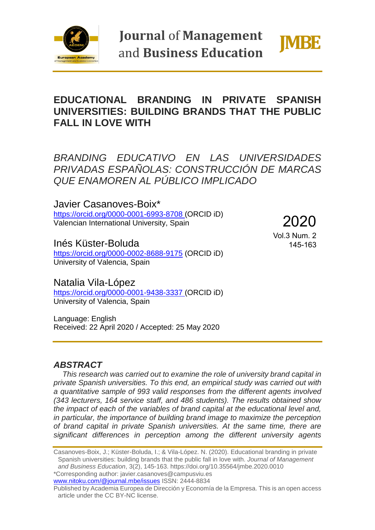

**Journal of Management** and Business Education



# **EDUCATIONAL BRANDING IN PRIVATE SPANISH UNIVERSITIES: BUILDING BRANDS THAT THE PUBLIC FALL IN LOVE WITH**

*BRANDING EDUCATIVO EN LAS UNIVERSIDADES PRIVADAS ESPAÑOLAS: CONSTRUCCIÓN DE MARCAS QUE ENAMOREN AL PÚBLICO IMPLICADO*

Javier Casanoves-Boix\* <https://orcid.org/0000-0001-6993-8708> (ORCID iD) Valencian International University, Spain

2020

Inés Küster-Boluda https://orcid.org/0000-0002-8688-9175 (ORCID iD) University of Valencia, Spain

Vol.3 Num. 2 145-163

## Natalia Vila-López

<https://orcid.org/0000-0001-9438-3337> (ORCID iD) University of Valencia, Spain

Language: English Received: 22 April 2020 / Accepted: 25 May 2020

### *ABSTRACT*

*This research was carried out to examine the role of university brand capital in private Spanish universities. To this end, an empirical study was carried out with a quantitative sample of 993 valid responses from the different agents involved (343 lecturers, 164 service staff, and 486 students). The results obtained show the impact of each of the variables of brand capital at the educational level and, in particular, the importance of building brand image to maximize the perception of brand capital in private Spanish universities. At the same time, there are significant differences in perception among the different university agents* 

Casanoves-Boix, J.; Küster-Boluda, I.; & Vila-López. N. (2020). Educational branding in private Spanish universities: building brands that the public fall in love with. *Journal of Management and Business Education*, 3(2), 145-163. https://doi.org/10.35564/jmbe.2020.0010 \*Corresponding author: javier.casanoves@campusviu.es

[www.nitoku.com/@journal.mbe/issues](http://www.nitoku.com/@journal.mbe/issues) ISSN: 2444-8834

Published by Academia Europea de Dirección y Economía de la Empresa. This is an open access article under the CC BY-NC license.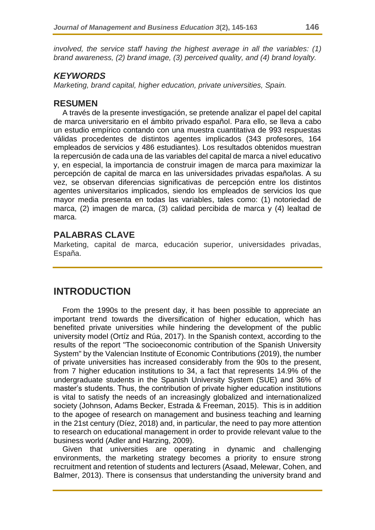*involved, the service staff having the highest average in all the variables: (1) brand awareness, (2) brand image, (3) perceived quality, and (4) brand loyalty.*

### *KEYWORDS*

*Marketing, brand capital, higher education, private universities, Spain.*

### **RESUMEN**

A través de la presente investigación, se pretende analizar el papel del capital de marca universitario en el ámbito privado español. Para ello, se lleva a cabo un estudio empírico contando con una muestra cuantitativa de 993 respuestas válidas procedentes de distintos agentes implicados (343 profesores, 164 empleados de servicios y 486 estudiantes). Los resultados obtenidos muestran la repercusión de cada una de las variables del capital de marca a nivel educativo y, en especial, la importancia de construir imagen de marca para maximizar la percepción de capital de marca en las universidades privadas españolas. A su vez, se observan diferencias significativas de percepción entre los distintos agentes universitarios implicados, siendo los empleados de servicios los que mayor media presenta en todas las variables, tales como: (1) notoriedad de marca, (2) imagen de marca, (3) calidad percibida de marca y (4) lealtad de marca.

### **PALABRAS CLAVE**

Marketing, capital de marca, educación superior, universidades privadas, España.

## **INTRODUCTION**

From the 1990s to the present day, it has been possible to appreciate an important trend towards the diversification of higher education, which has benefited private universities while hindering the development of the public university model (Ortíz and Rúa, 2017). In the Spanish context, according to the results of the report "The socioeconomic contribution of the Spanish University System" by the Valencian Institute of Economic Contributions (2019), the number of private universities has increased considerably from the 90s to the present, from 7 higher education institutions to 34, a fact that represents 14.9% of the undergraduate students in the Spanish University System (SUE) and 36% of master's students. Thus, the contribution of private higher education institutions is vital to satisfy the needs of an increasingly globalized and internationalized society (Johnson, Adams Becker, Estrada & Freeman, 2015). This is in addition to the apogee of research on management and business teaching and learning in the 21st century (Díez, 2018) and, in particular, the need to pay more attention to research on educational management in order to provide relevant value to the business world (Adler and Harzing, 2009).

Given that universities are operating in dynamic and challenging environments, the marketing strategy becomes a priority to ensure strong recruitment and retention of students and lecturers (Asaad, Melewar, Cohen, and Balmer, 2013). There is consensus that understanding the university brand and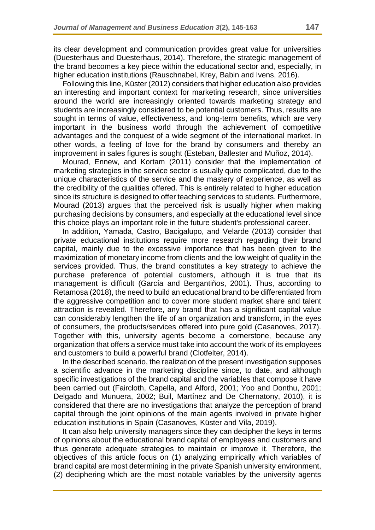its clear development and communication provides great value for universities (Duesterhaus and Duesterhaus, 2014). Therefore, the strategic management of the brand becomes a key piece within the educational sector and, especially, in higher education institutions (Rauschnabel, Krey, Babin and Ivens, 2016).

Following this line, Küster (2012) considers that higher education also provides an interesting and important context for marketing research, since universities around the world are increasingly oriented towards marketing strategy and students are increasingly considered to be potential customers. Thus, results are sought in terms of value, effectiveness, and long-term benefits, which are very important in the business world through the achievement of competitive advantages and the conquest of a wide segment of the international market. In other words, a feeling of love for the brand by consumers and thereby an improvement in sales figures is sought (Esteban, Ballester and Muñoz, 2014).

Mourad, Ennew, and Kortam (2011) consider that the implementation of marketing strategies in the service sector is usually quite complicated, due to the unique characteristics of the service and the mastery of experience, as well as the credibility of the qualities offered. This is entirely related to higher education since its structure is designed to offer teaching services to students. Furthermore, Mourad (2013) argues that the perceived risk is usually higher when making purchasing decisions by consumers, and especially at the educational level since this choice plays an important role in the future student's professional career.

In addition, Yamada, Castro, Bacigalupo, and Velarde (2013) consider that private educational institutions require more research regarding their brand capital, mainly due to the excessive importance that has been given to the maximization of monetary income from clients and the low weight of quality in the services provided. Thus, the brand constitutes a key strategy to achieve the purchase preference of potential customers, although it is true that its management is difficult (García and Bergantiños, 2001). Thus, according to Retamosa (2018), the need to build an educational brand to be differentiated from the aggressive competition and to cover more student market share and talent attraction is revealed. Therefore, any brand that has a significant capital value can considerably lengthen the life of an organization and transform, in the eyes of consumers, the products/services offered into pure gold (Casanoves, 2017). Together with this, university agents become a cornerstone, because any organization that offers a service must take into account the work of its employees and customers to build a powerful brand (Clotfelter, 2014).

In the described scenario, the realization of the present investigation supposes a scientific advance in the marketing discipline since, to date, and although specific investigations of the brand capital and the variables that compose it have been carried out (Faircloth, Capella, and Alford, 2001; Yoo and Donthu, 2001; Delgado and Munuera, 2002; Buil, Martínez and De Chernatony, 2010), it is considered that there are no investigations that analyze the perception of brand capital through the joint opinions of the main agents involved in private higher education institutions in Spain (Casanoves, Küster and Vila, 2019).

It can also help university managers since they can decipher the keys in terms of opinions about the educational brand capital of employees and customers and thus generate adequate strategies to maintain or improve it. Therefore, the objectives of this article focus on (1) analyzing empirically which variables of brand capital are most determining in the private Spanish university environment, (2) deciphering which are the most notable variables by the university agents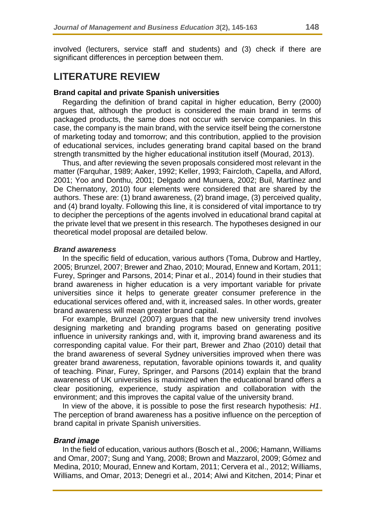involved (lecturers, service staff and students) and (3) check if there are significant differences in perception between them.

## **LITERATURE REVIEW**

#### **Brand capital and private Spanish universities**

Regarding the definition of brand capital in higher education, Berry (2000) argues that, although the product is considered the main brand in terms of packaged products, the same does not occur with service companies. In this case, the company is the main brand, with the service itself being the cornerstone of marketing today and tomorrow; and this contribution, applied to the provision of educational services, includes generating brand capital based on the brand strength transmitted by the higher educational institution itself (Mourad, 2013).

Thus, and after reviewing the seven proposals considered most relevant in the matter (Farquhar, 1989; Aaker, 1992; Keller, 1993; Faircloth, Capella, and Alford, 2001; Yoo and Donthu, 2001; Delgado and Munuera, 2002; Buil, Martínez and De Chernatony, 2010) four elements were considered that are shared by the authors. These are: (1) brand awareness, (2) brand image, (3) perceived quality, and (4) brand loyalty. Following this line, it is considered of vital importance to try to decipher the perceptions of the agents involved in educational brand capital at the private level that we present in this research. The hypotheses designed in our theoretical model proposal are detailed below.

#### *Brand awareness*

In the specific field of education, various authors (Toma, Dubrow and Hartley, 2005; Brunzel, 2007; Brewer and Zhao, 2010; Mourad, Ennew and Kortam, 2011; Furey, Springer and Parsons, 2014; Pinar et al., 2014) found in their studies that brand awareness in higher education is a very important variable for private universities since it helps to generate greater consumer preference in the educational services offered and, with it, increased sales. In other words, greater brand awareness will mean greater brand capital.

For example, Brunzel (2007) argues that the new university trend involves designing marketing and branding programs based on generating positive influence in university rankings and, with it, improving brand awareness and its corresponding capital value. For their part, Brewer and Zhao (2010) detail that the brand awareness of several Sydney universities improved when there was greater brand awareness, reputation, favorable opinions towards it, and quality of teaching. Pinar, Furey, Springer, and Parsons (2014) explain that the brand awareness of UK universities is maximized when the educational brand offers a clear positioning, experience, study aspiration and collaboration with the environment; and this improves the capital value of the university brand.

In view of the above, it is possible to pose the first research hypothesis: *H1*. The perception of brand awareness has a positive influence on the perception of brand capital in private Spanish universities.

### *Brand image*

In the field of education, various authors (Bosch et al., 2006; Hamann, Williams and Omar, 2007; Sung and Yang, 2008; Brown and Mazzarol, 2009; Gómez and Medina, 2010; Mourad, Ennew and Kortam, 2011; Cervera et al., 2012; Williams, Williams, and Omar, 2013; Denegri et al., 2014; Alwi and Kitchen, 2014; Pinar et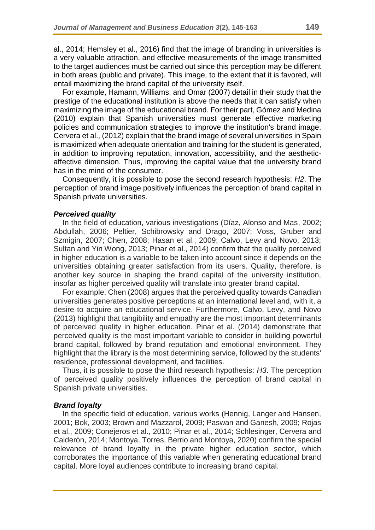al., 2014; Hemsley et al., 2016) find that the image of branding in universities is a very valuable attraction, and effective measurements of the image transmitted to the target audiences must be carried out since this perception may be different in both areas (public and private). This image, to the extent that it is favored, will entail maximizing the brand capital of the university itself.

For example, Hamann, Williams, and Omar (2007) detail in their study that the prestige of the educational institution is above the needs that it can satisfy when maximizing the image of the educational brand. For their part, Gómez and Medina (2010) explain that Spanish universities must generate effective marketing policies and communication strategies to improve the institution's brand image. Cervera et al., (2012) explain that the brand image of several universities in Spain is maximized when adequate orientation and training for the student is generated, in addition to improving reputation, innovation, accessibility, and the aestheticaffective dimension. Thus, improving the capital value that the university brand has in the mind of the consumer.

Consequently, it is possible to pose the second research hypothesis: *H2*. The perception of brand image positively influences the perception of brand capital in Spanish private universities.

#### *Perceived quality*

In the field of education, various investigations (Díaz, Alonso and Mas, 2002; Abdullah, 2006; Peltier, Schibrowsky and Drago, 2007; Voss, Gruber and Szmigin, 2007; Chen, 2008; Hasan et al., 2009; Calvo, Levy and Novo, 2013; Sultan and Yin Wong, 2013; Pinar et al., 2014) confirm that the quality perceived in higher education is a variable to be taken into account since it depends on the universities obtaining greater satisfaction from its users. Quality, therefore, is another key source in shaping the brand capital of the university institution, insofar as higher perceived quality will translate into greater brand capital.

For example, Chen (2008) argues that the perceived quality towards Canadian universities generates positive perceptions at an international level and, with it, a desire to acquire an educational service. Furthermore, Calvo, Levy, and Novo (2013) highlight that tangibility and empathy are the most important determinants of perceived quality in higher education. Pinar et al. (2014) demonstrate that perceived quality is the most important variable to consider in building powerful brand capital, followed by brand reputation and emotional environment. They highlight that the library is the most determining service, followed by the students' residence, professional development, and facilities.

Thus, it is possible to pose the third research hypothesis: *H3*. The perception of perceived quality positively influences the perception of brand capital in Spanish private universities.

### *Brand loyalty*

In the specific field of education, various works (Hennig, Langer and Hansen, 2001; Bok, 2003; Brown and Mazzarol, 2009; Paswan and Ganesh, 2009; Rojas et al., 2009; Conejeros et al., 2010; Pinar et al., 2014; Schlesinger, Cervera and Calderón, 2014; Montoya, Torres, Berrio and Montoya, 2020) confirm the special relevance of brand loyalty in the private higher education sector, which corroborates the importance of this variable when generating educational brand capital. More loyal audiences contribute to increasing brand capital.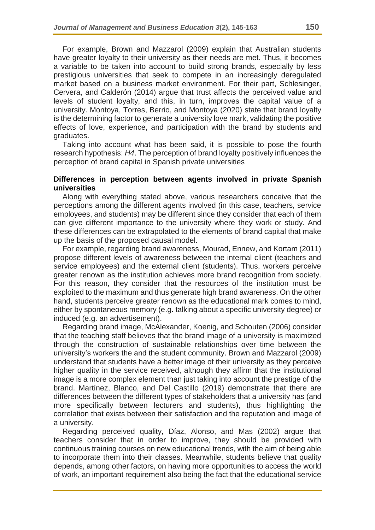For example, Brown and Mazzarol (2009) explain that Australian students have greater loyalty to their university as their needs are met. Thus, it becomes a variable to be taken into account to build strong brands, especially by less prestigious universities that seek to compete in an increasingly deregulated market based on a business market environment. For their part, Schlesinger, Cervera, and Calderón (2014) argue that trust affects the perceived value and levels of student loyalty, and this, in turn, improves the capital value of a university. Montoya, Torres, Berrio, and Montoya (2020) state that brand loyalty is the determining factor to generate a university love mark, validating the positive effects of love, experience, and participation with the brand by students and graduates.

Taking into account what has been said, it is possible to pose the fourth research hypothesis: *H4*. The perception of brand loyalty positively influences the perception of brand capital in Spanish private universities

#### **Differences in perception between agents involved in private Spanish universities**

Along with everything stated above, various researchers conceive that the perceptions among the different agents involved (in this case, teachers, service employees, and students) may be different since they consider that each of them can give different importance to the university where they work or study. And these differences can be extrapolated to the elements of brand capital that make up the basis of the proposed causal model.

For example, regarding brand awareness, Mourad, Ennew, and Kortam (2011) propose different levels of awareness between the internal client (teachers and service employees) and the external client (students). Thus, workers perceive greater renown as the institution achieves more brand recognition from society. For this reason, they consider that the resources of the institution must be exploited to the maximum and thus generate high brand awareness. On the other hand, students perceive greater renown as the educational mark comes to mind, either by spontaneous memory (e.g. talking about a specific university degree) or induced (e.g. an advertisement).

Regarding brand image, McAlexander, Koenig, and Schouten (2006) consider that the teaching staff believes that the brand image of a university is maximized through the construction of sustainable relationships over time between the university's workers the and the student community. Brown and Mazzarol (2009) understand that students have a better image of their university as they perceive higher quality in the service received, although they affirm that the institutional image is a more complex element than just taking into account the prestige of the brand. Martínez, Blanco, and Del Castillo (2019) demonstrate that there are differences between the different types of stakeholders that a university has (and more specifically between lecturers and students), thus highlighting the correlation that exists between their satisfaction and the reputation and image of a university.

Regarding perceived quality, Díaz, Alonso, and Mas (2002) argue that teachers consider that in order to improve, they should be provided with continuous training courses on new educational trends, with the aim of being able to incorporate them into their classes. Meanwhile, students believe that quality depends, among other factors, on having more opportunities to access the world of work, an important requirement also being the fact that the educational service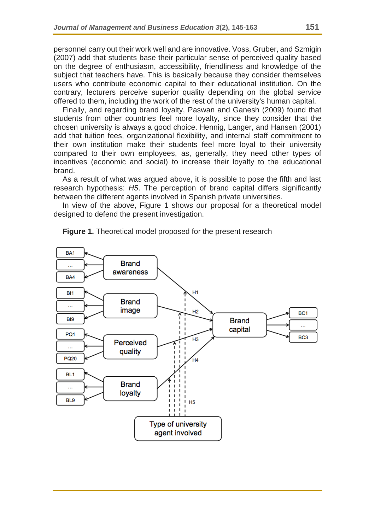personnel carry out their work well and are innovative. Voss, Gruber, and Szmigin (2007) add that students base their particular sense of perceived quality based on the degree of enthusiasm, accessibility, friendliness and knowledge of the subject that teachers have. This is basically because they consider themselves users who contribute economic capital to their educational institution. On the contrary, lecturers perceive superior quality depending on the global service offered to them, including the work of the rest of the university's human capital.

Finally, and regarding brand loyalty, Paswan and Ganesh (2009) found that students from other countries feel more loyalty, since they consider that the chosen university is always a good choice. Hennig, Langer, and Hansen (2001) add that tuition fees, organizational flexibility, and internal staff commitment to their own institution make their students feel more loyal to their university compared to their own employees, as, generally, they need other types of incentives (economic and social) to increase their loyalty to the educational brand.

As a result of what was argued above, it is possible to pose the fifth and last research hypothesis: *H5*. The perception of brand capital differs significantly between the different agents involved in Spanish private universities.

In view of the above, Figure 1 shows our proposal for a theoretical model designed to defend the present investigation.



**Figure 1.** Theoretical model proposed for the present research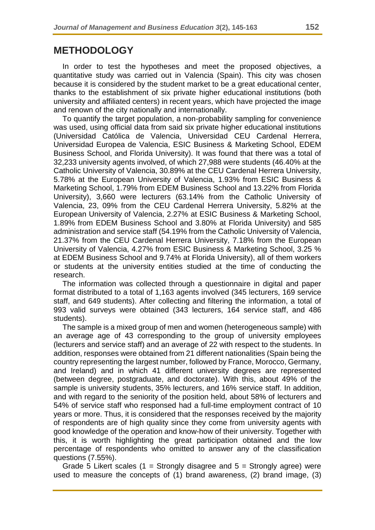## **METHODOLOGY**

In order to test the hypotheses and meet the proposed objectives, a quantitative study was carried out in Valencia (Spain). This city was chosen because it is considered by the student market to be a great educational center, thanks to the establishment of six private higher educational institutions (both university and affiliated centers) in recent years, which have projected the image and renown of the city nationally and internationally.

To quantify the target population, a non-probability sampling for convenience was used, using official data from said six private higher educational institutions (Universidad Católica de Valencia, Universidad CEU Cardenal Herrera, Universidad Europea de Valencia, ESIC Business & Marketing School, EDEM Business School, and Florida University). It was found that there was a total of 32,233 university agents involved, of which 27,988 were students (46.40% at the Catholic University of Valencia, 30.89% at the CEU Cardenal Herrera University, 5.78% at the European University of Valencia, 1.93% from ESIC Business & Marketing School, 1.79% from EDEM Business School and 13.22% from Florida University), 3,660 were lecturers (63.14% from the Catholic University of Valencia, 23, 09% from the CEU Cardenal Herrera University, 5.82% at the European University of Valencia, 2.27% at ESIC Business & Marketing School, 1.89% from EDEM Business School and 3.80% at Florida University) and 585 administration and service staff (54.19% from the Catholic University of Valencia, 21.37% from the CEU Cardenal Herrera University, 7.18% from the European University of Valencia, 4.27% from ESIC Business & Marketing School, 3.25 % at EDEM Business School and 9.74% at Florida University), all of them workers or students at the university entities studied at the time of conducting the research.

The information was collected through a questionnaire in digital and paper format distributed to a total of 1,163 agents involved (345 lecturers, 169 service staff, and 649 students). After collecting and filtering the information, a total of 993 valid surveys were obtained (343 lecturers, 164 service staff, and 486 students).

The sample is a mixed group of men and women (heterogeneous sample) with an average age of 43 corresponding to the group of university employees (lecturers and service staff) and an average of 22 with respect to the students. In addition, responses were obtained from 21 different nationalities (Spain being the country representing the largest number, followed by France, Morocco, Germany, and Ireland) and in which 41 different university degrees are represented (between degree, postgraduate, and doctorate). With this, about 49% of the sample is university students, 35% lecturers, and 16% service staff. In addition, and with regard to the seniority of the position held, about 58% of lecturers and 54% of service staff who responsed had a full-time employment contract of 10 years or more. Thus, it is considered that the responses received by the majority of respondents are of high quality since they come from university agents with good knowledge of the operation and know-how of their university. Together with this, it is worth highlighting the great participation obtained and the low percentage of respondents who omitted to answer any of the classification questions (7.55%).

Grade 5 Likert scales (1 = Strongly disagree and  $5$  = Strongly agree) were used to measure the concepts of (1) brand awareness, (2) brand image, (3)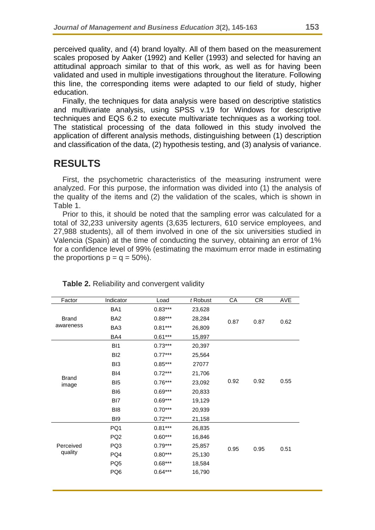perceived quality, and (4) brand loyalty. All of them based on the measurement scales proposed by Aaker (1992) and Keller (1993) and selected for having an attitudinal approach similar to that of this work, as well as for having been validated and used in multiple investigations throughout the literature. Following this line, the corresponding items were adapted to our field of study, higher education.

Finally, the techniques for data analysis were based on descriptive statistics and multivariate analysis, using SPSS v.19 for Windows for descriptive techniques and EQS 6.2 to execute multivariate techniques as a working tool. The statistical processing of the data followed in this study involved the application of different analysis methods, distinguishing between (1) description and classification of the data, (2) hypothesis testing, and (3) analysis of variance.

## **RESULTS**

First, the psychometric characteristics of the measuring instrument were analyzed. For this purpose, the information was divided into (1) the analysis of the quality of the items and (2) the validation of the scales, which is shown in Table 1.

Prior to this, it should be noted that the sampling error was calculated for a total of 32,233 university agents (3,635 lecturers, 610 service employees, and 27,988 students), all of them involved in one of the six universities studied in Valencia (Spain) at the time of conducting the survey, obtaining an error of 1% for a confidence level of 99% (estimating the maximum error made in estimating the proportions  $p = q = 50\%$ ).

| Factor                    | Indicator       | Load      | t Robust | CA           | <b>CR</b> | AVE  |
|---------------------------|-----------------|-----------|----------|--------------|-----------|------|
| <b>Brand</b><br>awareness | BA1             | $0.83***$ | 23,628   |              |           | 0.62 |
|                           | BA <sub>2</sub> | $0.88***$ | 28,284   | 0.87         | 0.87      |      |
|                           | BA3             | $0.81***$ | 26,809   |              |           |      |
|                           | BA4             | $0.61***$ | 15,897   |              |           |      |
|                           | B <sub>1</sub>  | $0.73***$ | 20,397   |              |           | 0.55 |
|                           | B <sub>12</sub> | $0.77***$ | 25,564   |              |           |      |
|                           | BI <sub>3</sub> | $0.85***$ | 27077    |              |           |      |
|                           | BI4             | $0.72***$ | 21,706   | 0.92         |           |      |
| <b>Brand</b><br>image     | BI <sub>5</sub> | $0.76***$ | 23,092   |              | 0.92      |      |
|                           | BI <sub>6</sub> | $0.69***$ | 20,833   |              |           |      |
|                           | BI7             | $0.69***$ | 19,129   |              |           |      |
|                           | BI <sub>8</sub> | $0.70***$ | 20,939   |              |           |      |
|                           | BI9             | $0.72***$ | 21,158   |              |           |      |
|                           | PQ1             | $0.81***$ | 26,835   |              |           |      |
| Perceived<br>quality      | PQ <sub>2</sub> | $0.60***$ | 16,846   |              |           | 0.51 |
|                           | PQ3             | $0.79***$ | 25,857   | 0.95<br>0.95 |           |      |
|                           | PQ4             | $0.80***$ | 25,130   |              |           |      |
|                           | PQ <sub>5</sub> | $0.68***$ | 18,584   |              |           |      |
|                           | PQ6             | $0.64***$ | 16,790   |              |           |      |
|                           |                 |           |          |              |           |      |
|                           |                 |           |          |              |           |      |

#### **Table 2.** Reliability and convergent validity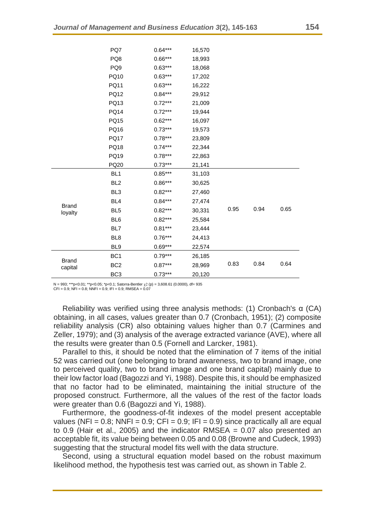|                         | PQ7             | $0.64***$ | 16,570 |      |      |      |
|-------------------------|-----------------|-----------|--------|------|------|------|
|                         | PQ8             | $0.66***$ | 18,993 |      |      |      |
|                         | PQ <sub>9</sub> | $0.63***$ | 18,068 |      |      |      |
|                         | PQ10            | $0.63***$ | 17,202 |      |      |      |
|                         | PQ11            | $0.63***$ | 16,222 |      |      |      |
|                         | <b>PQ12</b>     | $0.84***$ | 29,912 |      |      |      |
|                         | PQ13            | $0.72***$ | 21,009 |      |      |      |
|                         | <b>PQ14</b>     | $0.72***$ | 19,944 |      |      |      |
|                         | <b>PQ15</b>     | $0.62***$ | 16,097 |      |      |      |
|                         | PQ16            | $0.73***$ | 19,573 |      |      |      |
|                         | <b>PQ17</b>     | $0.78***$ | 23,809 |      |      |      |
|                         | <b>PQ18</b>     | $0.74***$ | 22,344 |      |      |      |
|                         | PQ19            | $0.78***$ | 22,863 |      |      |      |
|                         | PQ20            | $0.73***$ | 21,141 |      |      |      |
|                         | BL <sub>1</sub> | $0.85***$ | 31,103 |      |      |      |
|                         | BL <sub>2</sub> | $0.86***$ | 30,625 |      |      |      |
|                         | BL <sub>3</sub> | $0.82***$ | 27,460 |      |      |      |
|                         | BL <sub>4</sub> | $0.84***$ | 27,474 |      |      |      |
| <b>Brand</b><br>loyalty | BL <sub>5</sub> | $0.82***$ | 30,331 | 0.95 | 0.94 | 0.65 |
|                         | BL <sub>6</sub> | $0.82***$ | 25,584 |      |      |      |
|                         | BL7             | $0.81***$ | 23,444 |      |      |      |
|                         | BL <sub>8</sub> | $0.76***$ | 24,413 |      |      |      |
|                         | BL <sub>9</sub> | $0.69***$ | 22,574 |      |      |      |
|                         | BC <sub>1</sub> | $0.79***$ | 26,185 |      |      |      |
| <b>Brand</b><br>capital | BC <sub>2</sub> | $0.87***$ | 28,969 | 0.83 | 0.84 | 0.64 |
|                         | BC <sub>3</sub> | $0.73***$ | 20,120 |      |      |      |

N = 993; \*\*\*p<0.01; \*\*p<0.05; \*p<0.1; Satorra-Bentler (p) = 3,608.61 (0.0000), df= 935 CFI = 0.9; NFI = 0.8; NNFI = 0.9; IFI = 0.9; RMSEA = 0.07

Reliability was verified using three analysis methods: (1) Cronbach's α (CA) obtaining, in all cases, values greater than 0.7 (Cronbach, 1951); (2) composite reliability analysis (CR) also obtaining values higher than 0.7 (Carmines and Zeller, 1979); and (3) analysis of the average extracted variance (AVE), where all the results were greater than 0.5 (Fornell and Larcker, 1981).

Parallel to this, it should be noted that the elimination of 7 items of the initial 52 was carried out (one belonging to brand awareness, two to brand image, one to perceived quality, two to brand image and one brand capital) mainly due to their low factor load (Bagozzi and Yi, 1988). Despite this, it should be emphasized that no factor had to be eliminated, maintaining the initial structure of the proposed construct. Furthermore, all the values of the rest of the factor loads were greater than 0.6 (Bagozzi and Yi, 1988).

Furthermore, the goodness-of-fit indexes of the model present acceptable values (NFI =  $0.8$ ; NNFI =  $0.9$ ; CFI =  $0.9$ ; IFI =  $0.9$ ) since practically all are equal to 0.9 (Hair et al., 2005) and the indicator RMSEA =  $0.07$  also presented an acceptable fit, its value being between 0.05 and 0.08 (Browne and Cudeck, 1993) suggesting that the structural model fits well with the data structure.

Second, using a structural equation model based on the robust maximum likelihood method, the hypothesis test was carried out, as shown in Table 2.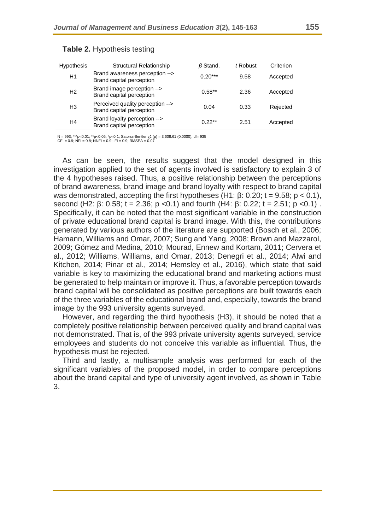| <b>Hypothesis</b> | <b>Structural Relationship</b>                               | $\beta$ Stand. | t Robust | Criterion |
|-------------------|--------------------------------------------------------------|----------------|----------|-----------|
| H1                | Brand awareness perception --><br>Brand capital perception   | $0.20***$      | 9.58     | Accepted  |
| H <sub>2</sub>    | Brand image perception --><br>Brand capital perception       | $0.58**$       | 2.36     | Accepted  |
| H <sub>3</sub>    | Perceived quality perception --><br>Brand capital perception | 0.04           | 0.33     | Rejected  |
| H4                | Brand loyalty perception --><br>Brand capital perception     | $0.22**$       | 2.51     | Accepted  |

#### **Table 2.** Hypothesis testing

N = 993; \*\*\*p<0.01; \*\*p<0.05; \*p<0.1; Satorra-Bentler (p) = 3,608.61 (0.0000), df= 935 CFI = 0.9; NFI = 0.8; NNFI = 0.9; IFI = 0.9; RMSEA = 0.07

As can be seen, the results suggest that the model designed in this investigation applied to the set of agents involved is satisfactory to explain 3 of the 4 hypotheses raised. Thus, a positive relationship between the perceptions of brand awareness, brand image and brand loyalty with respect to brand capital was demonstrated, accepting the first hypotheses (H1: β: 0.20; t = 9.58; p < 0.1), second (H2:  $\beta$ : 0.58; t = 2.36; p < 0.1) and fourth (H4:  $\beta$ : 0.22; t = 2.51; p < 0.1). Specifically, it can be noted that the most significant variable in the construction of private educational brand capital is brand image. With this, the contributions generated by various authors of the literature are supported (Bosch et al., 2006; Hamann, Williams and Omar, 2007; Sung and Yang, 2008; Brown and Mazzarol, 2009; Gómez and Medina, 2010; Mourad, Ennew and Kortam, 2011; Cervera et al., 2012; Williams, Williams, and Omar, 2013; Denegri et al., 2014; Alwi and Kitchen, 2014; Pinar et al., 2014; Hemsley et al., 2016), which state that said variable is key to maximizing the educational brand and marketing actions must be generated to help maintain or improve it. Thus, a favorable perception towards brand capital will be consolidated as positive perceptions are built towards each of the three variables of the educational brand and, especially, towards the brand image by the 993 university agents surveyed.

However, and regarding the third hypothesis (H3), it should be noted that a completely positive relationship between perceived quality and brand capital was not demonstrated. That is, of the 993 private university agents surveyed, service employees and students do not conceive this variable as influential. Thus, the hypothesis must be rejected.

Third and lastly, a multisample analysis was performed for each of the significant variables of the proposed model, in order to compare perceptions about the brand capital and type of university agent involved, as shown in Table 3.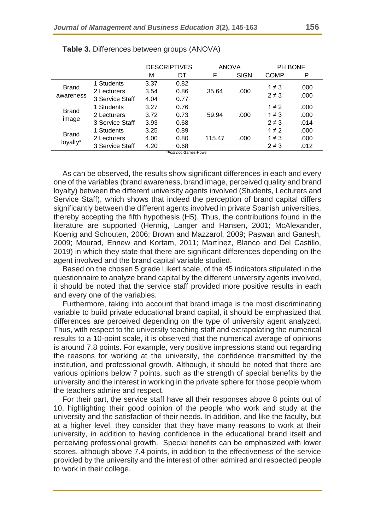|                           |                 | <b>DESCRIPTIVES</b> |      | <b>ANOVA</b> |             | <b>PH BONF</b> |      |
|---------------------------|-----------------|---------------------|------|--------------|-------------|----------------|------|
|                           |                 | M                   | DT   | F            | <b>SIGN</b> | COMP           | P    |
| <b>Brand</b><br>awareness | 1 Students      | 3.37                | 0.82 |              |             | $1 \neq 3$     | .000 |
|                           | 2 Lecturers     | 3.54                | 0.86 | 35.64        | .000        | $2 \neq 3$     | .000 |
|                           | 3 Service Staff | 4.04                | 0.77 |              |             |                |      |
| <b>Brand</b><br>image     | 1 Students      | 3.27                | 0.76 |              |             | $1 \neq 2$     | .000 |
|                           | 2 Lecturers     | 3.72                | 0.73 | 59.94        | .000        | $1 \neq 3$     | .000 |
|                           | 3 Service Staff | 3.93                | 0.68 |              |             | $2 \neq 3$     | .014 |
| <b>Brand</b><br>loyalty*  | 1 Students      | 3.25                | 0.89 |              |             | $1 \neq 2$     | .000 |
|                           | 2 Lecturers     | 4.00                | 0.80 | 115.47       | .000        | $1 \neq 3$     | .000 |
|                           | 3 Service Staff | 4.20                | 0.68 |              |             | $2 \neq 3$     | .012 |

**Table 3.** Differences between groups (ANOVA)

\**Post hoc* Games-Howel

As can be observed, the results show significant differences in each and every one of the variables (brand awareness, brand image, perceived quality and brand loyalty) between the different university agents involved (Students, Lecturers and Service Staff), which shows that indeed the perception of brand capital differs significantly between the different agents involved in private Spanish universities, thereby accepting the fifth hypothesis (H5). Thus, the contributions found in the literature are supported (Hennig, Langer and Hansen, 2001; McAlexander, Koenig and Schouten, 2006; Brown and Mazzarol, 2009; Paswan and Ganesh, 2009; Mourad, Ennew and Kortam, 2011; Martínez, Blanco and Del Castillo, 2019) in which they state that there are significant differences depending on the agent involved and the brand capital variable studied.

Based on the chosen 5 grade Likert scale, of the 45 indicators stipulated in the questionnaire to analyze brand capital by the different university agents involved, it should be noted that the service staff provided more positive results in each and every one of the variables.

Furthermore, taking into account that brand image is the most discriminating variable to build private educational brand capital, it should be emphasized that differences are perceived depending on the type of university agent analyzed. Thus, with respect to the university teaching staff and extrapolating the numerical results to a 10-point scale, it is observed that the numerical average of opinions is around 7.8 points. For example, very positive impressions stand out regarding the reasons for working at the university, the confidence transmitted by the institution, and professional growth. Although, it should be noted that there are various opinions below 7 points, such as the strength of special benefits by the university and the interest in working in the private sphere for those people whom the teachers admire and respect.

For their part, the service staff have all their responses above 8 points out of 10, highlighting their good opinion of the people who work and study at the university and the satisfaction of their needs. In addition, and like the faculty, but at a higher level, they consider that they have many reasons to work at their university, in addition to having confidence in the educational brand itself and perceiving professional growth. Special benefits can be emphasized with lower scores, although above 7.4 points, in addition to the effectiveness of the service provided by the university and the interest of other admired and respected people to work in their college.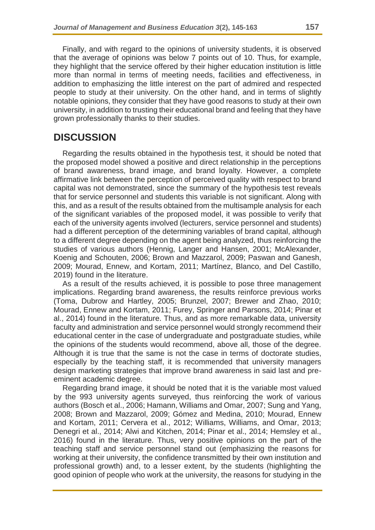Finally, and with regard to the opinions of university students, it is observed that the average of opinions was below 7 points out of 10. Thus, for example, they highlight that the service offered by their higher education institution is little more than normal in terms of meeting needs, facilities and effectiveness, in addition to emphasizing the little interest on the part of admired and respected people to study at their university. On the other hand, and in terms of slightly notable opinions, they consider that they have good reasons to study at their own university, in addition to trusting their educational brand and feeling that they have grown professionally thanks to their studies.

## **DISCUSSION**

Regarding the results obtained in the hypothesis test, it should be noted that the proposed model showed a positive and direct relationship in the perceptions of brand awareness, brand image, and brand loyalty. However, a complete affirmative link between the perception of perceived quality with respect to brand capital was not demonstrated, since the summary of the hypothesis test reveals that for service personnel and students this variable is not significant. Along with this, and as a result of the results obtained from the multisample analysis for each of the significant variables of the proposed model, it was possible to verify that each of the university agents involved (lecturers, service personnel and students) had a different perception of the determining variables of brand capital, although to a different degree depending on the agent being analyzed, thus reinforcing the studies of various authors (Hennig, Langer and Hansen, 2001; McAlexander, Koenig and Schouten, 2006; Brown and Mazzarol, 2009; Paswan and Ganesh, 2009; Mourad, Ennew, and Kortam, 2011; Martínez, Blanco, and Del Castillo, 2019) found in the literature.

As a result of the results achieved, it is possible to pose three management implications. Regarding brand awareness, the results reinforce previous works (Toma, Dubrow and Hartley, 2005; Brunzel, 2007; Brewer and Zhao, 2010; Mourad, Ennew and Kortam, 2011; Furey, Springer and Parsons, 2014; Pinar et al., 2014) found in the literature. Thus, and as more remarkable data, university faculty and administration and service personnel would strongly recommend their educational center in the case of undergraduate and postgraduate studies, while the opinions of the students would recommend, above all, those of the degree. Although it is true that the same is not the case in terms of doctorate studies, especially by the teaching staff, it is recommended that university managers design marketing strategies that improve brand awareness in said last and preeminent academic degree.

Regarding brand image, it should be noted that it is the variable most valued by the 993 university agents surveyed, thus reinforcing the work of various authors (Bosch et al., 2006; Hamann, Williams and Omar, 2007; Sung and Yang, 2008; Brown and Mazzarol, 2009; Gómez and Medina, 2010; Mourad, Ennew and Kortam, 2011; Cervera et al., 2012; Williams, Williams, and Omar, 2013; Denegri et al., 2014; Alwi and Kitchen, 2014; Pinar et al., 2014; Hemsley et al., 2016) found in the literature. Thus, very positive opinions on the part of the teaching staff and service personnel stand out (emphasizing the reasons for working at their university, the confidence transmitted by their own institution and professional growth) and, to a lesser extent, by the students (highlighting the good opinion of people who work at the university, the reasons for studying in the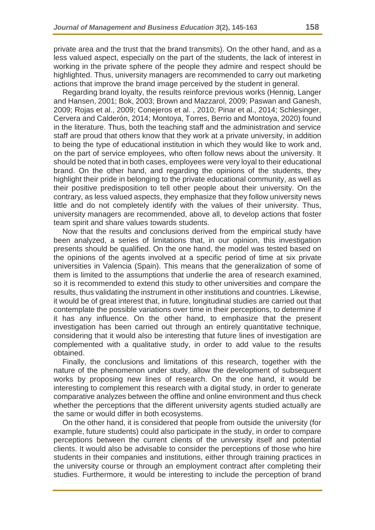private area and the trust that the brand transmits). On the other hand, and as a less valued aspect, especially on the part of the students, the lack of interest in working in the private sphere of the people they admire and respect should be highlighted. Thus, university managers are recommended to carry out marketing actions that improve the brand image perceived by the student in general.

Regarding brand loyalty, the results reinforce previous works (Hennig, Langer and Hansen, 2001; Bok, 2003; Brown and Mazzarol, 2009; Paswan and Ganesh, 2009; Rojas et al., 2009; Conejeros et al. , 2010; Pinar et al., 2014; Schlesinger, Cervera and Calderón, 2014; Montoya, Torres, Berrio and Montoya, 2020) found in the literature. Thus, both the teaching staff and the administration and service staff are proud that others know that they work at a private university, in addition to being the type of educational institution in which they would like to work and, on the part of service employees, who often follow news about the university. It should be noted that in both cases, employees were very loyal to their educational brand. On the other hand, and regarding the opinions of the students, they highlight their pride in belonging to the private educational community, as well as their positive predisposition to tell other people about their university. On the contrary, as less valued aspects, they emphasize that they follow university news little and do not completely identify with the values of their university. Thus, university managers are recommended, above all, to develop actions that foster team spirit and share values towards students.

Now that the results and conclusions derived from the empirical study have been analyzed, a series of limitations that, in our opinion, this investigation presents should be qualified. On the one hand, the model was tested based on the opinions of the agents involved at a specific period of time at six private universities in Valencia (Spain). This means that the generalization of some of them is limited to the assumptions that underlie the area of research examined, so it is recommended to extend this study to other universities and compare the results, thus validating the instrument in other institutions and countries. Likewise, it would be of great interest that, in future, longitudinal studies are carried out that contemplate the possible variations over time in their perceptions, to determine if it has any influence. On the other hand, to emphasize that the present investigation has been carried out through an entirely quantitative technique, considering that it would also be interesting that future lines of investigation are complemented with a qualitative study, in order to add value to the results obtained.

Finally, the conclusions and limitations of this research, together with the nature of the phenomenon under study, allow the development of subsequent works by proposing new lines of research. On the one hand, it would be interesting to complement this research with a digital study, in order to generate comparative analyzes between the offline and online environment and thus check whether the perceptions that the different university agents studied actually are the same or would differ in both ecosystems.

On the other hand, it is considered that people from outside the university (for example, future students) could also participate in the study, in order to compare perceptions between the current clients of the university itself and potential clients. It would also be advisable to consider the perceptions of those who hire students in their companies and institutions, either through training practices in the university course or through an employment contract after completing their studies. Furthermore, it would be interesting to include the perception of brand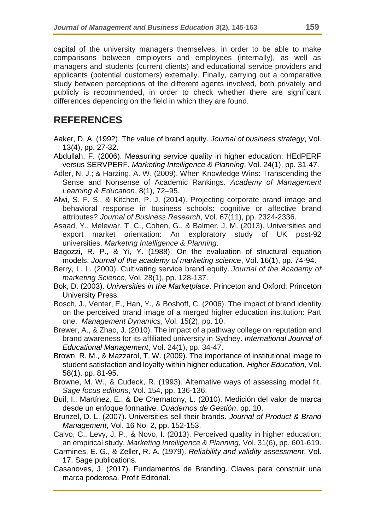capital of the university managers themselves, in order to be able to make comparisons between employers and employees (internally), as well as managers and students (current clients) and educational service providers and applicants (potential customers) externally. Finally, carrying out a comparative study between perceptions of the different agents involved, both privately and publicly is recommended, in order to check whether there are significant differences depending on the field in which they are found.

# **REFERENCES**

- Aaker, D. A. (1992). The value of brand equity. *Journal of business strategy*, Vol. 13(4), pp. 27-32.
- Abdullah, F. (2006). Measuring service quality in higher education: HEdPERF versus SERVPERF. *Marketing Intelligence & Planning*, Vol. 24(1), pp. 31-47.
- Adler, N. J.; & Harzing, A. W. (2009). When Knowledge Wins: Transcending the Sense and Nonsense of Academic Rankings. *Academy of Management Learning & Education*, 8(1), 72–95.
- Alwi, S. F. S., & Kitchen, P. J. (2014). Projecting corporate brand image and behavioral response in business schools: cognitive or affective brand attributes? *Journal of Business Research*, Vol. 67(11), pp. 2324-2336.
- Asaad, Y., Melewar, T. C., Cohen, G., & Balmer, J. M. (2013). Universities and export market orientation: An exploratory study of UK post-92 universities. *Marketing Intelligence & Planning*.
- Bagozzi, R. P., & Yi, Y. (1988). On the evaluation of structural equation models. *Journal of the academy of marketing science*, Vol. 16(1), pp. 74-94.
- Berry, L. L. (2000). Cultivating service brand equity. *Journal of the Academy of marketing Science*, Vol. 28(1), pp. 128-137.
- Bok, D. (2003). *Universities in the Marketplace*. Princeton and Oxford: Princeton University Press.
- Bosch, J., Venter, E., Han, Y., & Boshoff, C. (2006). The impact of brand identity on the perceived brand image of a merged higher education institution: Part one. *Management Dynamics*, Vol. 15(2), pp. 10.
- Brewer, A., & Zhao, J. (2010). The impact of a pathway college on reputation and brand awareness for its affiliated university in Sydney. *International Journal of Educational Management*, Vol. 24(1), pp. 34-47.
- Brown, R. M., & Mazzarol, T. W. (2009). The importance of institutional image to student satisfaction and loyalty within higher education. *Higher Education*, Vol. 58(1), pp. 81-95.
- Browne, M. W., & Cudeck, R. (1993). Alternative ways of assessing model fit. *Sage focus editions*, Vol. 154, pp. 136-136.
- Buil, I., Martínez, E., & De Chernatony, L. (2010). Medición del valor de marca desde un enfoque formative. *Cuadernos de Gestión*, pp. 10.
- Brunzel, D. L. (2007). Universities sell their brands. *Journal of Product & Brand Management*, Vol. 16 No. 2, pp. 152-153.
- Calvo, C., Levy, J. P., & Novo, I. (2013). Perceived quality in higher education: an empirical study. *Marketing Intelligence & Planning*, Vol. 31(6), pp. 601-619.
- Carmines, E. G., & Zeller, R. A. (1979). *Reliability and validity assessment*, Vol. 17. Sage publications.
- Casanoves, J. (2017). Fundamentos de Branding. Claves para construir una marca poderosa. Profit Editorial.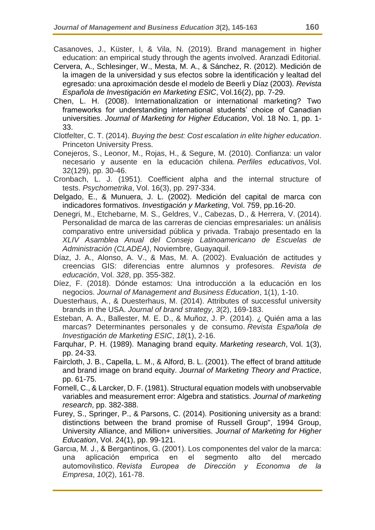- Casanoves, J., Küster, I, & Vila, N. (2019). Brand management in higher education: an empirical study through the agents involved. Aranzadi Editorial.
- Cervera, A., Schlesinger, W., Mesta, M. A., & Sánchez, R. (2012). Medición de la imagen de la universidad y sus efectos sobre la identificación y lealtad del egresado: una aproximación desde el modelo de Beerli y Díaz (2003). *Revista Española de Investigación en Marketing ESIC*, Vol.16(2), pp. 7-29.
- Chen, L. H. (2008). Internationalization or international marketing? Two frameworks for understanding international students' choice of Canadian universities. *Journal of Marketing for Higher Education*, Vol. 18 No. 1, pp. 1- 33.
- Clotfelter, C. T. (2014). *Buying the best: Cost escalation in elite higher education*. Princeton University Press.
- Conejeros, S., Leonor, M., Rojas, H., & Segure, M. (2010). Confianza: un valor necesario y ausente en la educación chilena. *Perfiles educativos*, Vol. 32(129), pp. 30-46.
- Cronbach, L. J. (1951). Coefficient alpha and the internal structure of tests. *Psychometrika*, Vol. 16(3), pp. 297-334.
- Delgado, E., & Munuera, J. L. (2002). Medición del capital de marca con indicadores formativos. *Investigación y Marketing*, Vol. 759, pp.16-20.
- Denegri, M., Etchebarne, M. S., Geldres, V., Cabezas, D., & Herrera, V. (2014). Personalidad de marca de las carreras de ciencias empresariales: un análisis comparativo entre universidad pública y privada. Trabajo presentado en la *XLIV Asamblea Anual del Consejo Latinoamericano de Escuelas de Administración (CLADEA)*, Noviembre, Guayaquil.
- Díaz, J. A., Alonso, A. V., & Mas, M. A. (2002). Evaluación de actitudes y creencias GIS: diferencias entre alumnos y profesores. *Revista de educación*, Vol. *328*, pp. 355-382.
- Díez, F. (2018). Dónde estamos: Una introducción a la educación en los negocios. *Journal of Management and Business Education*, 1(1), 1-10.
- Duesterhaus, A., & Duesterhaus, M. (2014). Attributes of successful university brands in the USA. *Journal of brand strategy*, *3*(2), 169-183.
- Esteban, A. A., Ballester, M. E. D., & Muñoz, J. P. (2014). ¿ Quién ama a las marcas? Determinantes personales y de consumo. *Revista Española de Investigación de Marketing ESIC*, *18*(1), 2-16.
- Farquhar, P. H. (1989). Managing brand equity. *Marketing research*, Vol. 1(3), pp. 24-33.
- Faircloth, J. B., Capella, L. M., & Alford, B. L. (2001). The effect of brand attitude and brand image on brand equity. *Journal of Marketing Theory and Practice*, pp. 61-75.
- Fornell, C., & Larcker, D. F. (1981). Structural equation models with unobservable variables and measurement error: Algebra and statistics. *Journal of marketing research*, pp. 382-388.
- Furey, S., Springer, P., & Parsons, C. (2014). Positioning university as a brand: distinctions between the brand promise of Russell Group", 1994 Group, University Alliance, and Million+ universities. *Journal of Marketing for Higher Education*, Vol. 24(1), pp. 99-121.
- Garcıa, M. J., & Bergantinos, G. (2001). Los componentes del valor de la marca: una aplicación empırica en el segmento alto del mercado automovilıstico. *Revista Europea de Dirección y Economıa de la Empresa*, *10*(2), 161-78.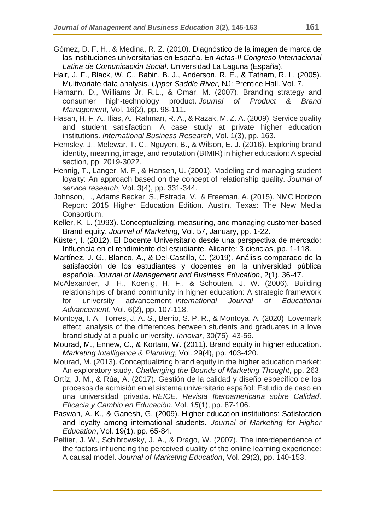- Gómez, D. F. H., & Medina, R. Z. (2010). Diagnóstico de la imagen de marca de las instituciones universitarias en España. En *Actas-II Congreso Internacional Latina de Comunicación Social*. Universidad La Laguna (España).
- Hair, J. F., Black, W. C., Babin, B. J., Anderson, R. E., & Tatham, R. L. (2005). Multivariate data analysis. *Upper Saddle River*, NJ: Prentice Hall. Vol. 7.
- Hamann, D., Williams Jr, R.L., & Omar, M. (2007). Branding strategy and consumer high-technology product. *Journal of Product & Brand Management*, Vol. 16(2), pp. 98-111.
- Hasan, H. F. A., Ilias, A., Rahman, R. A., & Razak, M. Z. A. (2009). Service quality and student satisfaction: A case study at private higher education institutions. *International Business Research*, Vol. 1(3), pp. 163.
- Hemsley, J., Melewar, T. C., Nguyen, B., & Wilson, E. J. (2016). Exploring brand identity, meaning, image, and reputation (BIMIR) in higher education: A special section, pp. 2019-3022.
- Hennig, T., Langer, M. F., & Hansen, U. (2001). Modeling and managing student loyalty: An approach based on the concept of relationship quality. *Journal of service research*, Vol. 3(4), pp. 331-344.
- Johnson, L., Adams Becker, S., Estrada, V., & Freeman, A. (2015). NMC Horizon Report: 2015 Higher Education Edition. Austin, Texas: The New Media Consortium.
- Keller, K. L. (1993). Conceptualizing, measuring, and managing customer-based Brand equity. *Journal of Marketing*, Vol. 57, January, pp. 1-22.
- Küster, I. (2012). El Docente Universitario desde una perspectiva de mercado: Influencia en el rendimiento del estudiante. Alicante: 3 ciencias, pp. 1-118.
- Martínez, J. G., Blanco, A., & Del-Castillo, C. (2019). Análisis comparado de la satisfacción de los estudiantes y docentes en la universidad pública española. *Journal of Management and Business Education*, 2(1), 36-47.
- McAlexander, J. H., Koenig, H. F., & Schouten, J. W. (2006). Building relationships of brand community in higher education: A strategic framework for university advancement. *International Journal of Educational Advancement*, Vol. 6(2), pp. 107-118.
- Montoya, I. A., Torres, J. A. S., Berrio, S. P. R., & Montoya, A. (2020). Lovemark effect: analysis of the differences between students and graduates in a love brand study at a public university. *Innovar*, 30(75), 43-56.
- Mourad, M., Ennew, C., & Kortam, W. (2011). Brand equity in higher education. *Marketing Intelligence & Planning*, Vol. 29(4), pp. 403-420.
- Mourad, M. (2013). Conceptualizing brand equity in the higher education market: An exploratory study. *Challenging the Bounds of Marketing Thought*, pp. 263.
- Ortíz, J. M., & Rúa, A. (2017). Gestión de la calidad y diseño específico de los procesos de admisión en el sistema universitario español: Estudio de caso en una universidad privada. *REICE. Revista Iberoamericana sobre Calidad, Eficacia y Cambio en Educación*, Vol. *15*(1), pp. 87-106.
- Paswan, A. K., & Ganesh, G. (2009). Higher education institutions: Satisfaction and loyalty among international students. *Journal of Marketing for Higher Education*, Vol. 19(1), pp. 65-84.
- Peltier, J. W., Schibrowsky, J. A., & Drago, W. (2007). The interdependence of the factors influencing the perceived quality of the online learning experience: A causal model. *Journal of Marketing Education*, Vol. 29(2), pp. 140-153.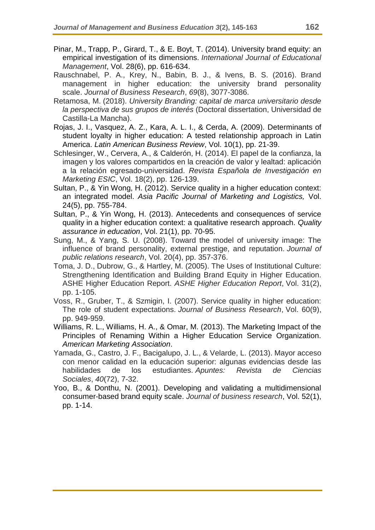- Pinar, M., Trapp, P., Girard, T., & E. Boyt, T. (2014). University brand equity: an empirical investigation of its dimensions. *International Journal of Educational Management*, Vol. 28(6), pp. 616-634.
- Rauschnabel, P. A., Krey, N., Babin, B. J., & Ivens, B. S. (2016). Brand management in higher education: the university brand personality scale. *Journal of Business Research*, *69*(8), 3077-3086.
- Retamosa, M. (2018). *University Branding: capital de marca universitario desde la perspectiva de sus grupos de interés* (Doctoral dissertation, Universidad de Castilla-La Mancha).
- Rojas, J. I., Vasquez, A. Z., Kara, A. L. I., & Cerda, A. (2009). Determinants of student loyalty in higher education: A tested relationship approach in Latin America. *Latin American Business Review*, Vol. 10(1), pp. 21-39.
- Schlesinger, W., Cervera, A., & Calderón, H. (2014). El papel de la confianza, la imagen y los valores compartidos en la creación de valor y lealtad: aplicación a la relación egresado-universidad. *Revista Española de Investigación en Marketing ESIC*, Vol. 18(2), pp. 126-139.
- Sultan, P., & Yin Wong, H. (2012). Service quality in a higher education context: an integrated model. *Asia Pacific Journal of Marketing and Logistics,* Vol. 24(5), pp. 755-784.
- Sultan, P., & Yin Wong, H. (2013). Antecedents and consequences of service quality in a higher education context: a qualitative research approach. *Quality assurance in education*, Vol. 21(1), pp. 70-95.
- Sung, M., & Yang, S. U. (2008). Toward the model of university image: The influence of brand personality, external prestige, and reputation. *Journal of public relations research*, Vol. 20(4), pp. 357-376.
- Toma, J. D., Dubrow, G., & Hartley, M. (2005). The Uses of Institutional Culture: Strengthening Identification and Building Brand Equity in Higher Education. ASHE Higher Education Report. *ASHE Higher Education Report*, Vol. 31(2), pp. 1-105.
- Voss, R., Gruber, T., & Szmigin, I. (2007). Service quality in higher education: The role of student expectations. *Journal of Business Research*, Vol. 60(9), pp. 949-959.
- Williams, R. L., Williams, H. A., & Omar, M. (2013). The Marketing Impact of the Principles of Renaming Within a Higher Education Service Organization. *American Marketing Association*.
- Yamada, G., Castro, J. F., Bacigalupo, J. L., & Velarde, L. (2013). Mayor acceso con menor calidad en la educación superior: algunas evidencias desde las habilidades de los estudiantes. *Apuntes: Revista de Ciencias Sociales*, *40*(72), 7-32.
- Yoo, B., & Donthu, N. (2001). Developing and validating a multidimensional consumer-based brand equity scale. *Journal of business research*, Vol. 52(1), pp. 1-14.